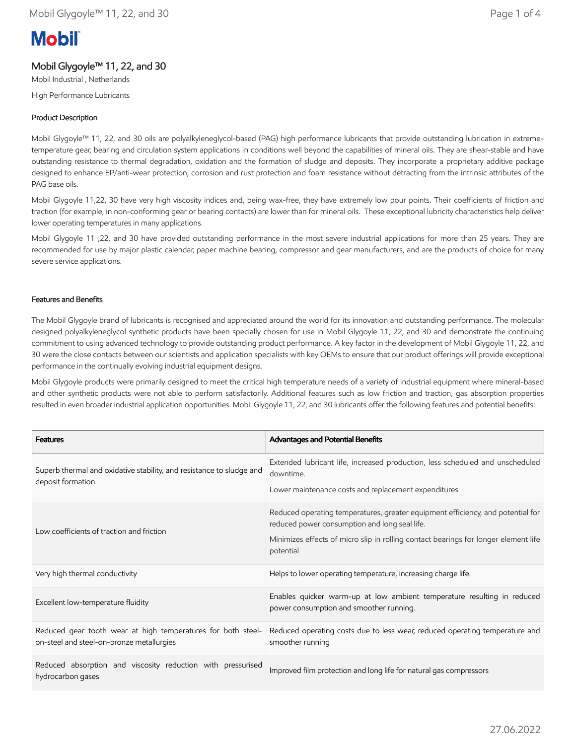# **Mobil**

# Mobil Glygoyle™ 11, 22, and 30

Mobil Industrial , Netherlands High Performance Lubricants

# Product Description

Mobil Glygoyle™ 11, 22, and 30 oils are polyalkyleneglycol-based (PAG) high performance lubricants that provide outstanding lubrication in extremetemperature gear, bearing and circulation system applications in conditions well beyond the capabilities of mineral oils. They are shear-stable and have outstanding resistance to thermal degradation, oxidation and the formation of sludge and deposits. They incorporate a proprietary additive package designed to enhance EP/anti-wear protection, corrosion and rust protection and foam resistance without detracting from the intrinsic attributes of the PAG base oils.

Mobil Glygoyle 11,22, 30 have very high viscosity indices and, being wax-free, they have extremely low pour points. Their coefficients of friction and traction (for example, in non-conforming gear or bearing contacts) are lower than for mineral oils. These exceptional lubricity characteristics help deliver lower operating temperatures in many applications.

Mobil Glygoyle 11 ,22, and 30 have provided outstanding performance in the most severe industrial applications for more than 25 years. They are recommended for use by major plastic calendar, paper machine bearing, compressor and gear manufacturers, and are the products of choice for many severe service applications.

# Features and Benefits

The Mobil Glygoyle brand of lubricants is recognised and appreciated around the world for its innovation and outstanding performance. The molecular designed polyalkyleneglycol synthetic products have been specially chosen for use in Mobil Glygoyle 11, 22, and 30 and demonstrate the continuing commitment to using advanced technology to provide outstanding product performance. A key factor in the development of Mobil Glygoyle 11, 22, and 30 were the close contacts between our scientists and application specialists with key OEMs to ensure that our product offerings will provide exceptional performance in the continually evolving industrial equipment designs.

Mobil Glygoyle products were primarily designed to meet the critical high temperature needs of a variety of industrial equipment where mineral-based and other synthetic products were not able to perform satisfactorily. Additional features such as low friction and traction, gas absorption properties resulted in even broader industrial application opportunities. Mobil Glygoyle 11, 22, and 30 lubricants offer the following features and potential benefits:

| <b>Features</b>                                                                                           | Advantages and Potential Benefits                                                                                                                                                                                                    |  |
|-----------------------------------------------------------------------------------------------------------|--------------------------------------------------------------------------------------------------------------------------------------------------------------------------------------------------------------------------------------|--|
| Superb thermal and oxidative stability, and resistance to sludge and<br>deposit formation                 | Extended lubricant life, increased production, less scheduled and unscheduled<br>downtime.<br>Lower maintenance costs and replacement expenditures                                                                                   |  |
| Low coefficients of traction and friction                                                                 | Reduced operating temperatures, greater equipment efficiency, and potential for<br>reduced power consumption and long seal life.<br>Minimizes effects of micro slip in rolling contact bearings for longer element life<br>potential |  |
| Very high thermal conductivity                                                                            | Helps to lower operating temperature, increasing charge life.                                                                                                                                                                        |  |
| Excellent low-temperature fluidity                                                                        | Enables quicker warm-up at low ambient temperature resulting in reduced<br>power consumption and smoother running.                                                                                                                   |  |
| Reduced gear tooth wear at high temperatures for both steel-<br>on-steel and steel-on-bronze metallurgies | Reduced operating costs due to less wear, reduced operating temperature and<br>smoother running                                                                                                                                      |  |
| Reduced absorption and viscosity reduction with pressurised<br>hydrocarbon gases                          | Improved film protection and long life for natural gas compressors                                                                                                                                                                   |  |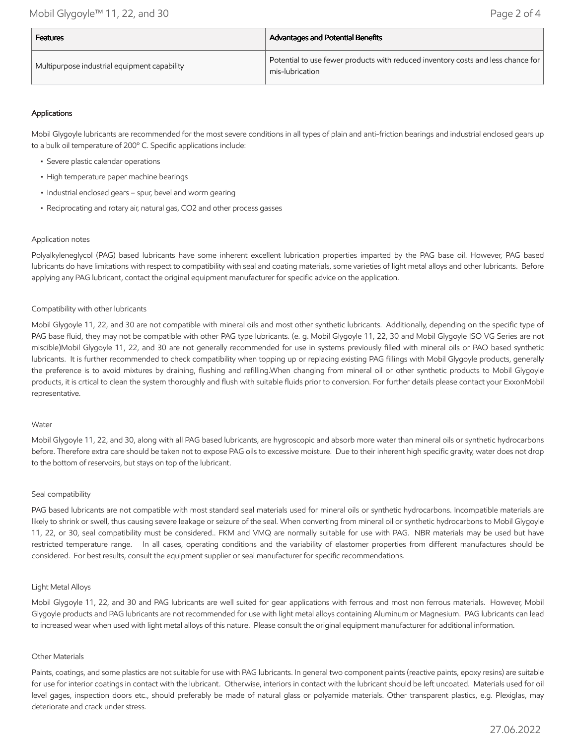| <b>Features</b>                              | <b>Advantages and Potential Benefits</b>                                                            |  |
|----------------------------------------------|-----------------------------------------------------------------------------------------------------|--|
| Multipurpose industrial equipment capability | Potential to use fewer products with reduced inventory costs and less chance for<br>mis-lubrication |  |

# Applications

Mobil Glygoyle lubricants are recommended for the most severe conditions in all types of plain and anti-friction bearings and industrial enclosed gears up to a bulk oil temperature of 200º C. Specific applications include:

- Severe plastic calendar operations
- High temperature paper machine bearings
- Industrial enclosed gears spur, bevel and worm gearing
- Reciprocating and rotary air, natural gas, CO2 and other process gasses

## Application notes

Polyalkyleneglycol (PAG) based lubricants have some inherent excellent lubrication properties imparted by the PAG base oil. However, PAG based lubricants do have limitations with respect to compatibility with seal and coating materials, some varieties of light metal alloys and other lubricants. Before applying any PAG lubricant, contact the original equipment manufacturer for specific advice on the application.

## Compatibility with other lubricants

Mobil Glygoyle 11, 22, and 30 are not compatible with mineral oils and most other synthetic lubricants. Additionally, depending on the specific type of PAG base fluid, they may not be compatible with other PAG type lubricants. (e. g. Mobil Glygoyle 11, 22, 30 and Mobil Glygoyle ISO VG Series are not miscible)Mobil Glygoyle 11, 22, and 30 are not generally recommended for use in systems previously filled with mineral oils or PAO based synthetic lubricants. It is further recommended to check compatibility when topping up or replacing existing PAG fillings with Mobil Glygoyle products, generally the preference is to avoid mixtures by draining, flushing and refilling.When changing from mineral oil or other synthetic products to Mobil Glygoyle products, it is crtical to clean the system thoroughly and flush with suitable fluids prior to conversion. For further details please contact your ExxonMobil representative.

#### Water

Mobil Glygoyle 11, 22, and 30, along with all PAG based lubricants, are hygroscopic and absorb more water than mineral oils or synthetic hydrocarbons before. Therefore extra care should be taken not to expose PAG oils to excessive moisture. Due to their inherent high specific gravity, water does not drop to the bottom of reservoirs, but stays on top of the lubricant.

#### Seal compatibility

PAG based lubricants are not compatible with most standard seal materials used for mineral oils or synthetic hydrocarbons. Incompatible materials are likely to shrink or swell, thus causing severe leakage or seizure of the seal. When converting from mineral oil or synthetic hydrocarbons to Mobil Glygoyle 11, 22, or 30, seal compatibility must be considered.. FKM and VMQ are normally suitable for use with PAG. NBR materials may be used but have restricted temperature range. In all cases, operating conditions and the variability of elastomer properties from different manufactures should be considered. For best results, consult the equipment supplier or seal manufacturer for specific recommendations.

## Light Metal Alloys

Mobil Glygoyle 11, 22, and 30 and PAG lubricants are well suited for gear applications with ferrous and most non ferrous materials. However, Mobil Glygoyle products and PAG lubricants are not recommended for use with light metal alloys containing Aluminum or Magnesium. PAG lubricants can lead to increased wear when used with light metal alloys of this nature. Please consult the original equipment manufacturer for additional information.

#### Other Materials

Paints, coatings, and some plastics are not suitable for use with PAG lubricants. In general two component paints (reactive paints, epoxy resins) are suitable for use for interior coatings in contact with the lubricant. Otherwise, interiors in contact with the lubricant should be left uncoated. Materials used for oil level gages, inspection doors etc., should preferably be made of natural glass or polyamide materials. Other transparent plastics, e.g. Plexiglas, may deteriorate and crack under stress.